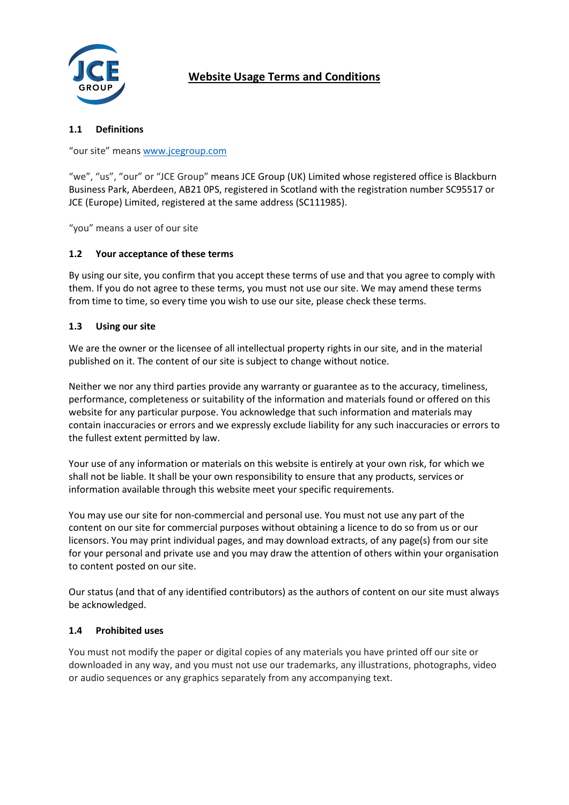

# **Website Usage Terms and Conditions**

## **1.1 Definitions**

"our site" mean[s www.jcegroup.com](http://www.jcegroup.com/)

"we", "us", "our" or "JCE Group" means JCE Group (UK) Limited whose registered office is Blackburn Business Park, Aberdeen, AB21 0PS, registered in Scotland with the registration number SC95517 or JCE (Europe) Limited, registered at the same address (SC111985).

"you" means a user of our site

## **1.2 Your acceptance of these terms**

By using our site, you confirm that you accept these terms of use and that you agree to comply with them. If you do not agree to these terms, you must not use our site. We may amend these terms from time to time, so every time you wish to use our site, please check these terms.

## **1.3 Using our site**

We are the owner or the licensee of all intellectual property rights in our site, and in the material published on it. The content of our site is subject to change without notice.

Neither we nor any third parties provide any warranty or guarantee as to the accuracy, timeliness, performance, completeness or suitability of the information and materials found or offered on this website for any particular purpose. You acknowledge that such information and materials may contain inaccuracies or errors and we expressly exclude liability for any such inaccuracies or errors to the fullest extent permitted by law.

Your use of any information or materials on this website is entirely at your own risk, for which we shall not be liable. It shall be your own responsibility to ensure that any products, services or information available through this website meet your specific requirements.

You may use our site for non-commercial and personal use. You must not use any part of the content on our site for commercial purposes without obtaining a licence to do so from us or our licensors. You may print individual pages, and may download extracts, of any page(s) from our site for your personal and private use and you may draw the attention of others within your organisation to content posted on our site.

Our status (and that of any identified contributors) as the authors of content on our site must always be acknowledged.

## **1.4 Prohibited uses**

You must not modify the paper or digital copies of any materials you have printed off our site or downloaded in any way, and you must not use our trademarks, any illustrations, photographs, video or audio sequences or any graphics separately from any accompanying text.